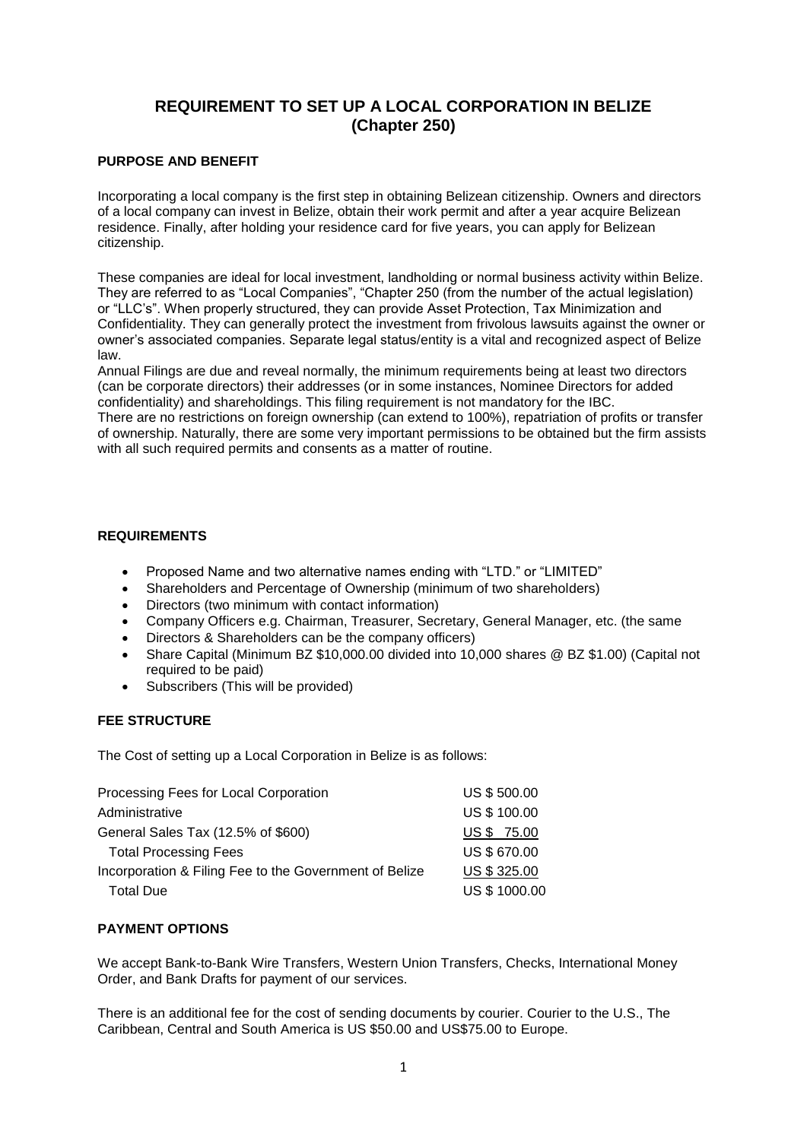# **REQUIREMENT TO SET UP A LOCAL CORPORATION IN BELIZE (Chapter 250)**

#### **PURPOSE AND BENEFIT**

Incorporating a local company is the first step in obtaining Belizean citizenship. Owners and directors of a local company can invest in Belize, obtain their work permit and after a year acquire Belizean residence. Finally, after holding your residence card for five years, you can apply for Belizean citizenship.

These companies are ideal for local investment, landholding or normal business activity within Belize. They are referred to as "Local Companies", "Chapter 250 (from the number of the actual legislation) or "LLC's". When properly structured, they can provide Asset Protection, Tax Minimization and Confidentiality. They can generally protect the investment from frivolous lawsuits against the owner or owner's associated companies. Separate legal status/entity is a vital and recognized aspect of Belize law.

Annual Filings are due and reveal normally, the minimum requirements being at least two directors (can be corporate directors) their addresses (or in some instances, Nominee Directors for added confidentiality) and shareholdings. This filing requirement is not mandatory for the IBC. There are no restrictions on foreign ownership (can extend to 100%), repatriation of profits or transfer of ownership. Naturally, there are some very important permissions to be obtained but the firm assists

with all such required permits and consents as a matter of routine.

#### **REQUIREMENTS**

- Proposed Name and two alternative names ending with "LTD." or "LIMITED"
- Shareholders and Percentage of Ownership (minimum of two shareholders)
- Directors (two minimum with contact information)
- Company Officers e.g. Chairman, Treasurer, Secretary, General Manager, etc. (the same
- Directors & Shareholders can be the company officers)
- Share Capital (Minimum BZ \$10,000.00 divided into 10,000 shares @ BZ \$1.00) (Capital not required to be paid)
- Subscribers (This will be provided)

#### **FEE STRUCTURE**

The Cost of setting up a Local Corporation in Belize is as follows:

| US \$500.00         |
|---------------------|
| <b>US \$ 100.00</b> |
| US \$ 75.00         |
| <b>US \$ 670.00</b> |
| US \$325.00         |
| US \$ 1000.00       |
|                     |

#### **PAYMENT OPTIONS**

We accept Bank-to-Bank Wire Transfers, Western Union Transfers, Checks, International Money Order, and Bank Drafts for payment of our services.

There is an additional fee for the cost of sending documents by courier. Courier to the U.S., The Caribbean, Central and South America is US \$50.00 and US\$75.00 to Europe.